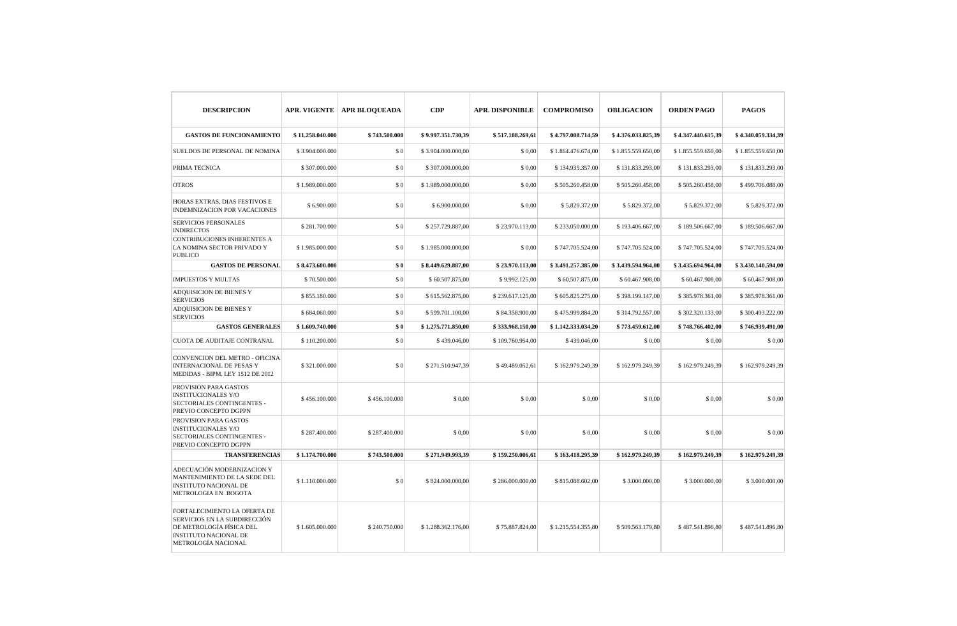| <b>DESCRIPCION</b>                                                                                                                              |                  | APR. VIGENTE   APR BLOQUEADA | CDP                | <b>APR. DISPONIBLE</b> | <b>COMPROMISO</b>  | <b>OBLIGACION</b>  | <b>ORDEN PAGO</b>  | <b>PAGOS</b>       |
|-------------------------------------------------------------------------------------------------------------------------------------------------|------------------|------------------------------|--------------------|------------------------|--------------------|--------------------|--------------------|--------------------|
| <b>GASTOS DE FUNCIONAMIENTO</b>                                                                                                                 | \$11.258.040.000 | \$743.500.000                | \$9.997.351.730,39 | \$517.188.269,61       | \$4.797.008.714,59 | \$4.376.033.825,39 | \$4.347.440.615,39 | \$4.340.059.334,39 |
| SUELDOS DE PERSONAL DE NOMINA                                                                                                                   | \$3.904.000.000  | \$0                          | \$3.904.000.000,00 | \$0,00                 | \$1.864.476.674,00 | \$1.855.559.650,00 | \$1.855.559.650,00 | \$1.855.559.650,00 |
| PRIMA TECNICA                                                                                                                                   | \$307.000.000    | \$0                          | \$307.000.000,00   | \$0.00                 | \$134.935.357.00   | \$131.833.293,00   | \$131.833.293.00   | \$131.833.293,00   |
| <b>OTROS</b>                                                                                                                                    | \$1.989.000.000  | \$0                          | \$1.989.000.000,00 | \$0,00                 | \$505.260.458,00   | \$505.260.458,00   | \$505.260.458,00   | \$499.706.088,00   |
| HORAS EXTRAS, DIAS FESTIVOS E<br>INDEMNIZACION POR VACACIONES                                                                                   | \$6.900.000      | \$0                          | \$6.900.000,00     | \$0,00                 | \$5.829.372,00     | \$5.829.372,00     | \$5.829.372,00     | \$5.829.372,00     |
| <b>SERVICIOS PERSONALES</b><br><b>INDIRECTOS</b>                                                                                                | \$281.700.000    | \$0                          | \$257.729.887,00   | \$23.970.113,00        | \$233.050.000,00   | \$193.406.667,00   | \$189.506.667,00   | \$189.506.667,00   |
| CONTRIBUCIONES INHERENTES A<br>LA NOMINA SECTOR PRIVADO Y<br><b>PUBLICO</b>                                                                     | \$1.985.000.000  | \$0                          | \$1.985.000.000,00 | \$0,00                 | \$747.705.524,00   | \$747.705.524,00   | \$747.705.524,00   | \$747.705.524,00   |
| <b>GASTOS DE PERSONAL</b>                                                                                                                       | \$8.473.600.000  | \$0                          | \$8.449.629.887,00 | \$23.970.113,00        | \$3.491.257.385,00 | \$3.439.594.964,00 | \$3.435.694.964,00 | \$3.430.140.594,00 |
| <b>IMPUESTOS Y MULTAS</b>                                                                                                                       | \$70.500.000     | \$0                          | \$60.507.875,00    | \$9.992.125,00         | \$60.507.875,00    | \$60.467.908,00    | \$60.467.908,00    | \$60.467.908,00    |
| ADQUISICION DE BIENES Y<br><b>SERVICIOS</b>                                                                                                     | \$855.180.000    | \$0                          | \$615.562.875,00   | \$239.617.125,00       | \$605.825.275,00   | \$398.199.147,00   | \$385.978.361,00   | \$385.978.361,00   |
| ADQUISICION DE BIENES Y<br><b>SERVICIOS</b>                                                                                                     | \$684.060.000    | \$0                          | \$599.701.100,00   | \$84.358.900,00        | \$475.999.884,20   | \$314.792.557,00   | \$302.320.133,00   | \$300.493.222,00   |
| <b>GASTOS GENERALES</b>                                                                                                                         | \$1.609.740.000  | \$0                          | \$1.275.771.850,00 | \$333.968.150,00       | \$1.142.333.034,20 | \$773.459.612,00   | \$748.766.402,00   | \$746.939.491,00   |
| <b>CUOTA DE AUDITAJE CONTRANAL</b>                                                                                                              | \$110.200.000    | \$0                          | \$439.046,00       | \$109.760.954,00       | \$439.046,00       | \$0,00             | \$0,00             | \$0,00             |
| CONVENCION DEL METRO - OFICINA<br><b>INTERNACIONAL DE PESAS Y</b><br>MEDIDAS - BIPM. LEY 1512 DE 2012                                           | \$321.000.000    | \$0                          | \$271.510.947,39   | \$49.489.052,61        | \$162.979.249,39   | \$162.979.249,39   | \$162.979.249,39   | \$162.979.249,39   |
| PROVISION PARA GASTOS<br><b>INSTITUCIONALES Y/O</b><br>SECTORIALES CONTINGENTES -<br>PREVIO CONCEPTO DGPPN                                      | \$456.100.000    | \$456.100.000                | \$0,00             | \$0,00                 | \$0,00             | \$0,00             | \$0,00             | \$0,00             |
| PROVISION PARA GASTOS<br><b>INSTITUCIONALES Y/O</b><br>SECTORIALES CONTINGENTES -<br>PREVIO CONCEPTO DGPPN                                      | \$287,400,000    | \$287,400,000                | \$0,00             | \$0.00                 | \$0,00             | \$ 0,00            | \$0,00             | \$0,00             |
| <b>TRANSFERENCIAS</b>                                                                                                                           | \$1.174.700.000  | \$743.500.000                | \$271.949.993,39   | \$159,250,006,61       | \$163.418.295,39   | \$162.979.249,39   | \$162,979,249,39   | \$162,979,249,39   |
| ADECUACIÓN MODERNIZACION Y<br>MANTENIMIENTO DE LA SEDE DEL<br><b>INSTITUTO NACIONAL DE</b><br>METROLOGIA EN BOGOTA                              | \$1.110.000.000  | \$0                          | \$824.000.000,00   | \$286.000.000,00       | \$815.088.602,00   | \$3.000.000,00     | \$3.000.000,00     | \$3.000.000,00     |
| FORTALECIMIENTO LA OFERTA DE<br>SERVICIOS EN LA SUBDIRECCIÓN<br>DE METROLOGÍA FÍSICA DEL<br><b>INSTITUTO NACIONAL DE</b><br>METROLOGÍA NACIONAL | \$1.605.000.000  | \$240.750.000                | \$1.288.362.176.00 | \$75.887.824,00        | \$1.215.554.355.80 | \$509.563.179.80   | \$487.541.896.80   | \$487.541.896.80   |